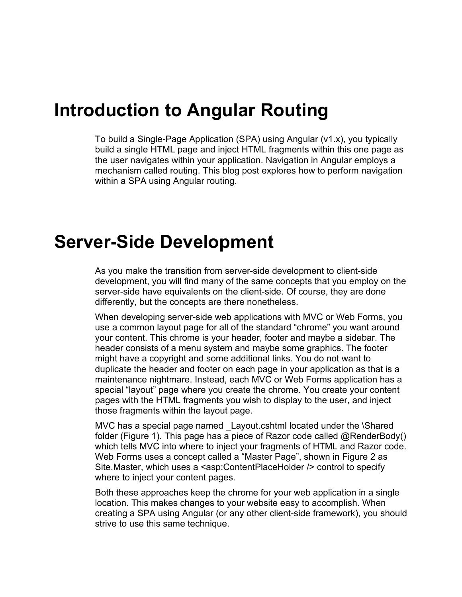#### **Introduction to Angular Routing**

To build a Single-Page Application (SPA) using Angular (v1.x), you typically build a single HTML page and inject HTML fragments within this one page as the user navigates within your application. Navigation in Angular employs a mechanism called routing. This blog post explores how to perform navigation within a SPA using Angular routing.

#### **Server-Side Development**

As you make the transition from server-side development to client-side development, you will find many of the same concepts that you employ on the server-side have equivalents on the client-side. Of course, they are done differently, but the concepts are there nonetheless.

When developing server-side web applications with MVC or Web Forms, you use a common layout page for all of the standard "chrome" you want around your content. This chrome is your header, footer and maybe a sidebar. The header consists of a menu system and maybe some graphics. The footer might have a copyright and some additional links. You do not want to duplicate the header and footer on each page in your application as that is a maintenance nightmare. Instead, each MVC or Web Forms application has a special "layout" page where you create the chrome. You create your content pages with the HTML fragments you wish to display to the user, and inject those fragments within the layout page.

MVC has a special page named \_Layout.cshtml located under the \Shared folder [\(Figure 1\)](#page-1-0). This page has a piece of Razor code called @RenderBody() which tells MVC into where to inject your fragments of HTML and Razor code. Web Forms uses a concept called a "Master Page", shown in [Figure 2](#page-1-1) as Site.Master, which uses a <asp:ContentPlaceHolder /> control to specify where to inject your content pages.

Both these approaches keep the chrome for your web application in a single location. This makes changes to your website easy to accomplish. When creating a SPA using Angular (or any other client-side framework), you should strive to use this same technique.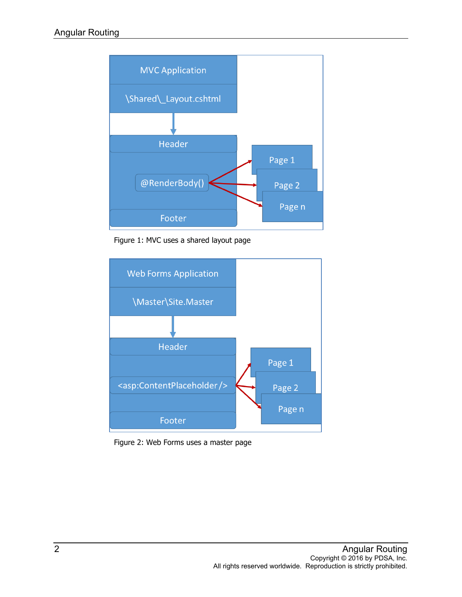

Figure 1: MVC uses a shared layout page

<span id="page-1-0"></span>

<span id="page-1-1"></span>Figure 2: Web Forms uses a master page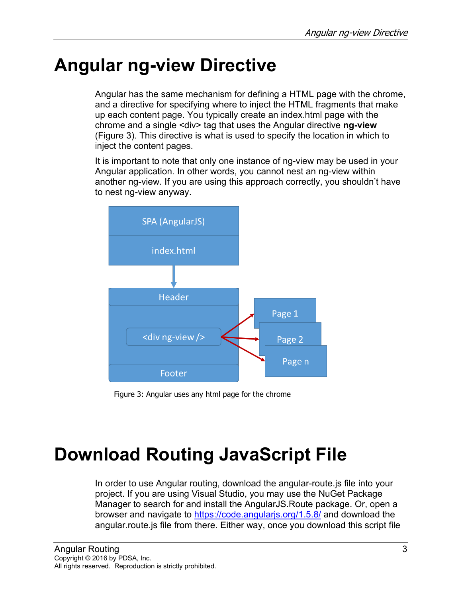# **Angular ng-view Directive**

Angular has the same mechanism for defining a HTML page with the chrome, and a directive for specifying where to inject the HTML fragments that make up each content page. You typically create an index.html page with the chrome and a single <div> tag that uses the Angular directive **ng-view** [\(Figure 3\)](#page-2-0). This directive is what is used to specify the location in which to inject the content pages.

It is important to note that only one instance of ng-view may be used in your Angular application. In other words, you cannot nest an ng-view within another ng-view. If you are using this approach correctly, you shouldn't have to nest ng-view anyway.



Figure 3: Angular uses any html page for the chrome

# <span id="page-2-0"></span>**Download Routing JavaScript File**

In order to use Angular routing, download the angular-route.js file into your project. If you are using Visual Studio, you may use the NuGet Package Manager to search for and install the AngularJS.Route package. Or, open a browser and navigate to<https://code.angularjs.org/1.5.8/> and download the angular.route.js file from there. Either way, once you download this script file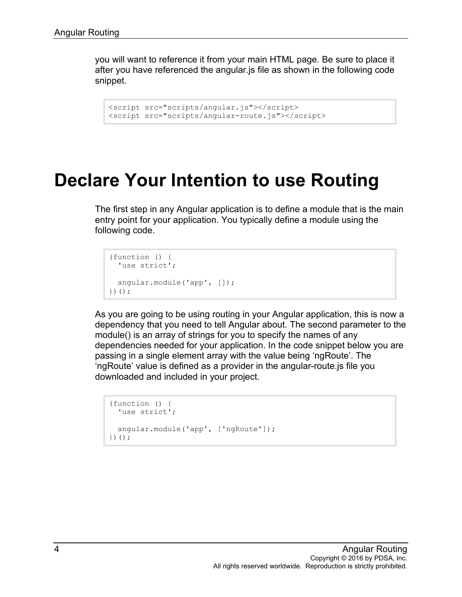you will want to reference it from your main HTML page. Be sure to place it after you have referenced the angular.js file as shown in the following code snippet.

```
<script src="scripts/angular.js"></script>
<script src="scripts/angular-route.js"></script>
```
#### **Declare Your Intention to use Routing**

The first step in any Angular application is to define a module that is the main entry point for your application. You typically define a module using the following code.

```
(function () {
  'use strict';
  angular.module('app', []);
})();
```
As you are going to be using routing in your Angular application, this is now a dependency that you need to tell Angular about. The second parameter to the module() is an array of strings for you to specify the names of any dependencies needed for your application. In the code snippet below you are passing in a single element array with the value being 'ngRoute'. The 'ngRoute' value is defined as a provider in the angular-route.js file you downloaded and included in your project.

```
(function () {
  'use strict';
  angular.module('app', ['ngRoute']);
})();
```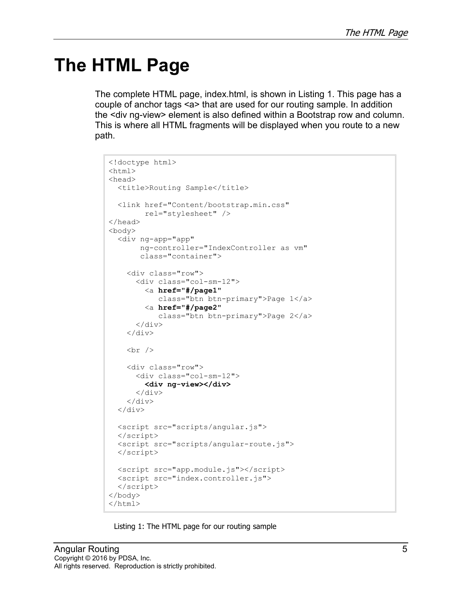## **The HTML Page**

The complete HTML page, index.html, is shown in [Listing 1.](#page-4-0) This page has a couple of anchor tags <a> that are used for our routing sample. In addition the <div ng-view> element is also defined within a Bootstrap row and column. This is where all HTML fragments will be displayed when you route to a new path.

```
<!doctype html>
<html>
<head>
  <title>Routing Sample</title>
   <link href="Content/bootstrap.min.css" 
         rel="stylesheet" />
</head>
<body>
   <div ng-app="app"
        ng-controller="IndexController as vm"
        class="container">
     <div class="row">
       <div class="col-sm-12">
         <a href="#/page1"
             class="btn btn-primary">Page 1</a>
         <a href="#/page2"
             class="btn btn-primary">Page 2</a>
      \langle div>
     </div>
    \text{br} />
     <div class="row">
       <div class="col-sm-12">
         <div ng-view></div>
      \langle div>
    \langle/div\rangle\langle/div\rangle <script src="scripts/angular.js">
  </script>
  <script src="scripts/angular-route.js">
   </script>
  <script src="app.module.js"></script>
   <script src="index.controller.js">
   </script>
</body>
</html>
```
<span id="page-4-0"></span>Listing 1: The HTML page for our routing sample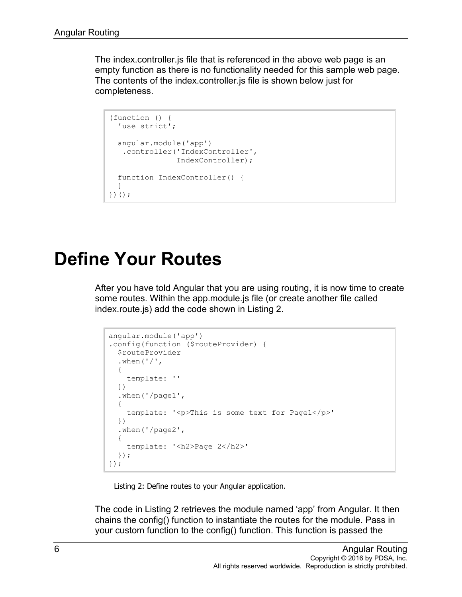The index.controller.js file that is referenced in the above web page is an empty function as there is no functionality needed for this sample web page. The contents of the index.controller.js file is shown below just for completeness.

```
(function () {
  'use strict';
  angular.module('app')
    .controller('IndexController', 
                IndexController);
   function IndexController() { 
   }
})();
```
### **Define Your Routes**

After you have told Angular that you are using routing, it is now time to create some routes. Within the app.module.js file (or create another file called index.route.js) add the code shown in [Listing 2.](#page-5-0)

```
angular.module('app')
.config(function ($routeProvider) {
   $routeProvider
  .when('/'),
   {
     template: ''
  })
   .when('/page1',
   {
     template: '<p>This is some text for Page1</p>'
  })
   .when('/page2',
   {
    template: '<h2>Page 2</h2>'
  });
});
```
Listing 2: Define routes to your Angular application.

<span id="page-5-0"></span>The code in [Listing 2](#page-5-0) retrieves the module named 'app' from Angular. It then chains the config() function to instantiate the routes for the module. Pass in your custom function to the config() function. This function is passed the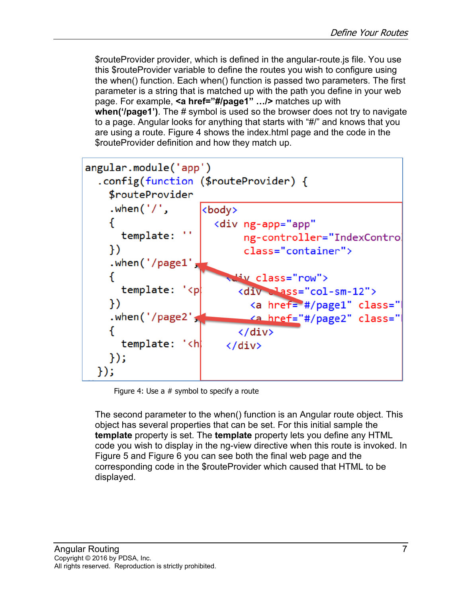\$routeProvider provider, which is defined in the angular-route.js file. You use this \$routeProvider variable to define the routes you wish to configure using the when() function. Each when() function is passed two parameters. The first parameter is a string that is matched up with the path you define in your web page. For example, **<a href="#/page1" …/>** matches up with **when('/page1')**. The # symbol is used so the browser does not try to navigate to a page. Angular looks for anything that starts with "#/" and knows that you are using a route. [Figure 4](#page-6-0) shows the index.html page and the code in the \$routeProvider definition and how they match up.



Figure 4: Use a # symbol to specify a route

<span id="page-6-0"></span>The second parameter to the when() function is an Angular route object. This object has several properties that can be set. For this initial sample the **template** property is set. The **template** property lets you define any HTML code you wish to display in the ng-view directive when this route is invoked. In [Figure 5](#page-7-0) and [Figure 6](#page-7-1) you can see both the final web page and the corresponding code in the \$routeProvider which caused that HTML to be displayed.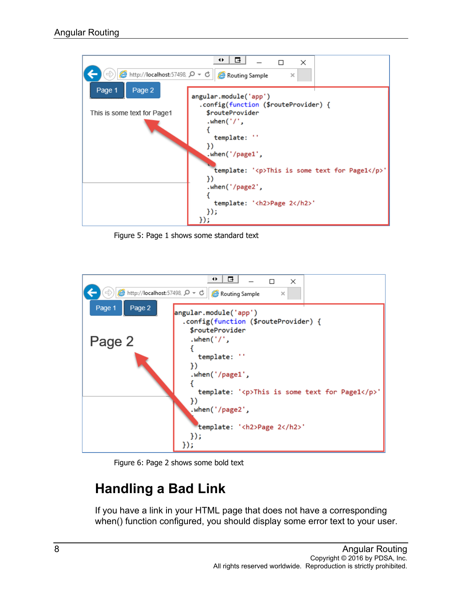

Figure 5: Page 1 shows some standard text

<span id="page-7-0"></span>

Figure 6: Page 2 shows some bold text

#### <span id="page-7-1"></span>**Handling a Bad Link**

If you have a link in your HTML page that does not have a corresponding when() function configured, you should display some error text to your user.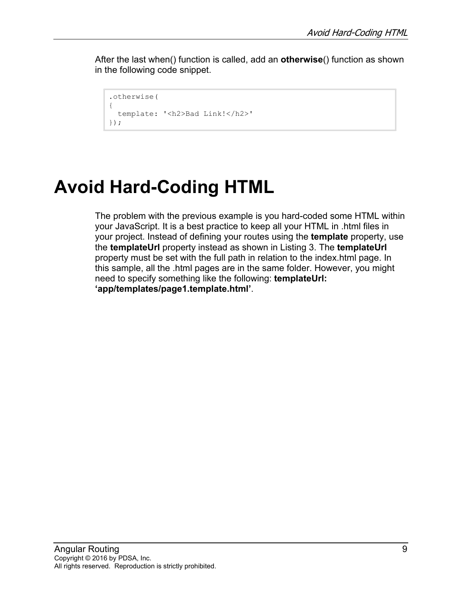After the last when() function is called, add an **otherwise**() function as shown in the following code snippet.

```
.otherwise(
{
  template: '<h2>Bad Link!</h2>'
});
```
# **Avoid Hard-Coding HTML**

The problem with the previous example is you hard-coded some HTML within your JavaScript. It is a best practice to keep all your HTML in .html files in your project. Instead of defining your routes using the **template** property, use the **templateUrl** property instead as shown in [Listing 3.](#page-9-0) The **templateUrl** property must be set with the full path in relation to the index.html page. In this sample, all the .html pages are in the same folder. However, you might need to specify something like the following: **templateUrl: 'app/templates/page1.template.html'**.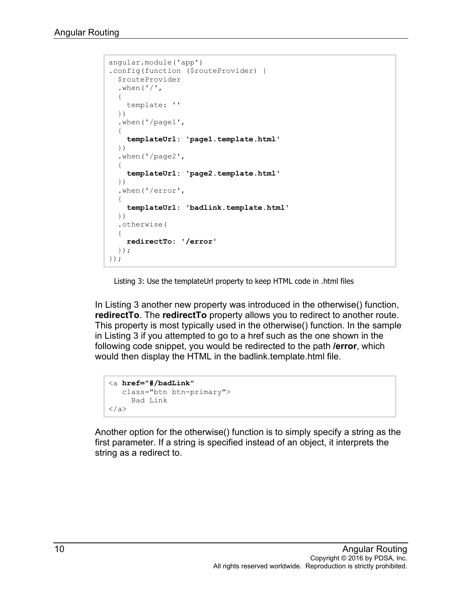```
angular.module('app')
.config(function ($routeProvider) {
  $routeProvider
  .when('/'),
   {
     template: ''
  })
   .when('/page1',
   {
     templateUrl: 'page1.template.html'
  })
   .when('/page2',
   {
     templateUrl: 'page2.template.html'
  })
   .when('/error',
   {
     templateUrl: 'badlink.template.html'
  })
   .otherwise(
   {
    redirectTo: '/error'
  });
});
```
Listing 3: Use the templateUrl property to keep HTML code in .html files

<span id="page-9-0"></span>In [Listing 3](#page-9-0) another new property was introduced in the otherwise() function, **redirectTo**. The **redirectTo** property allows you to redirect to another route. This property is most typically used in the otherwise() function. In the sample in [Listing 3](#page-9-0) if you attempted to go to a href such as the one shown in the following code snippet, you would be redirected to the path **/error**, which would then display the HTML in the badlink.template.html file.

```
<a href="#/badLink"
   class="btn btn-primary">
     Bad Link
</a>
```
Another option for the otherwise() function is to simply specify a string as the first parameter. If a string is specified instead of an object, it interprets the string as a redirect to.